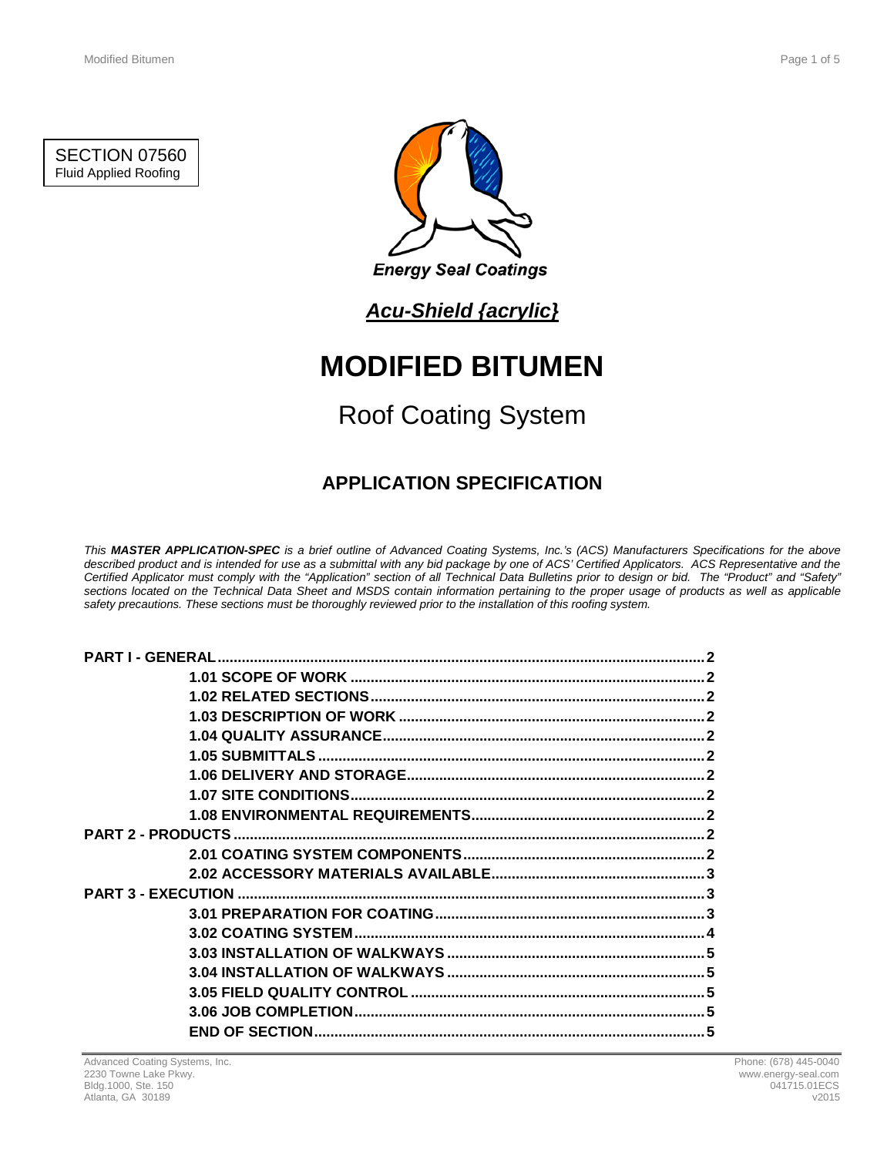SECTION 07560 Fluid Applied Roofing



*Acu-Shield {acrylic}*

# **MODIFIED BITUMEN**

## Roof Coating System

## **APPLICATION SPECIFICATION**

*This MASTER APPLICATION-SPEC is a brief outline of Advanced Coating Systems, Inc.'s (ACS) Manufacturers Specifications for the above described product and is intended for use as a submittal with any bid package by one of ACS' Certified Applicators. ACS Representative and the Certified Applicator must comply with the "Application" section of all Technical Data Bulletins prior to design or bid. The "Product" and "Safety" sections located on the Technical Data Sheet and MSDS contain information pertaining to the proper usage of products as well as applicable safety precautions. These sections must be thoroughly reviewed prior to the installation of this roofing system.*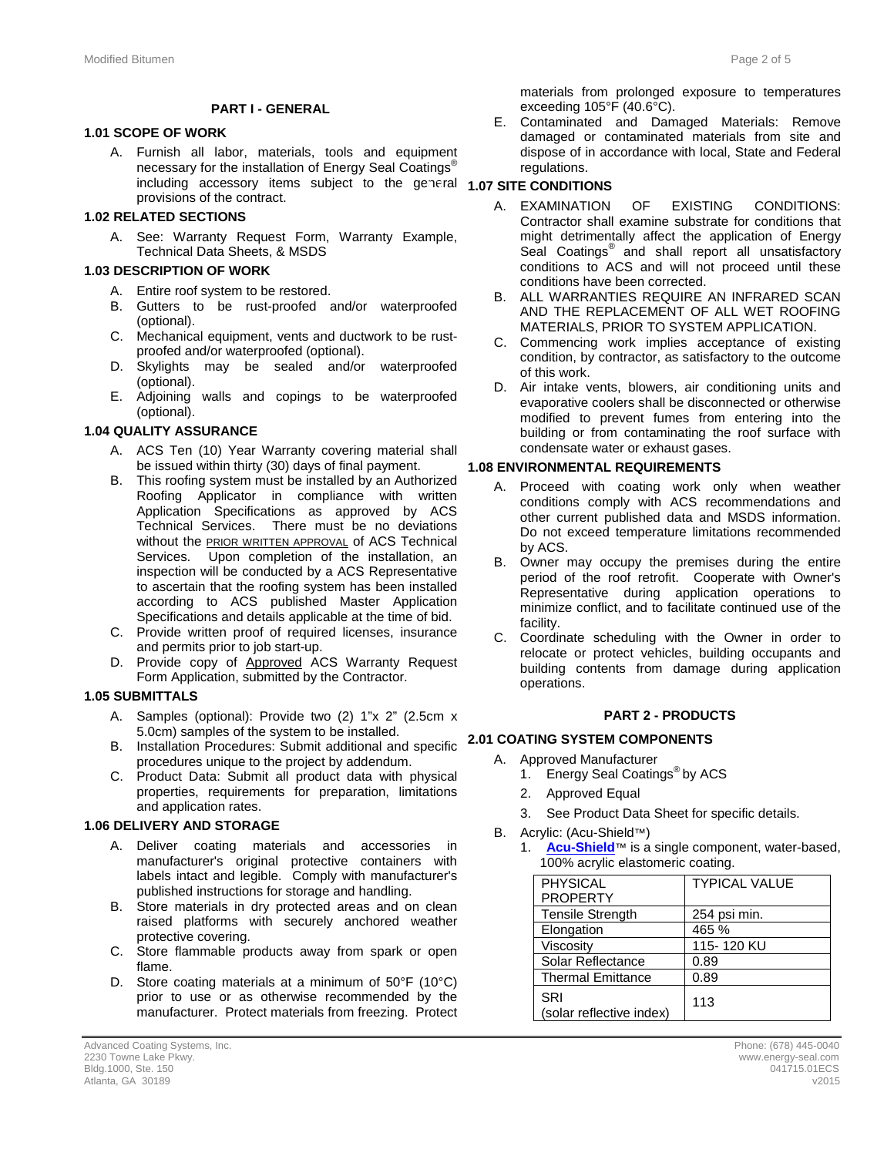### **PART I - GENERAL**

### **1.1 1.01 SCOPE OF WORK**

A. Furnish all labor, materials, tools and equipment necessary for the installation of Energy Seal Coatings<sup>®</sup> including accessory items subject to the general **1.07 SITE CONDITIONS** provisions of the contract.

### **1.2 1.02 RELATED SECTIONS**

A. See: Warranty Request Form, Warranty Example, Technical Data Sheets, & MSDS

### **1.3 1.03 DESCRIPTION OF WORK**

- A. Entire roof system to be restored.
- B. Gutters to be rust-proofed and/or waterproofed (optional).
- C. Mechanical equipment, vents and ductwork to be rustproofed and/or waterproofed (optional).
- D. Skylights may be sealed and/or waterproofed (optional).
- E. Adjoining walls and copings to be waterproofed (optional).

### **1.4 1.04 QUALITY ASSURANCE**

- A. ACS Ten (10) Year Warranty covering material shall be issued within thirty (30) days of final payment.
- B. This roofing system must be installed by an Authorized Roofing Applicator in compliance with written Application Specifications as approved by ACS Technical Services. There must be no deviations without the **PRIOR WRITTEN APPROVAL** of ACS Technical Services. Upon completion of the installation, an inspection will be conducted by a ACS Representative to ascertain that the roofing system has been installed according to ACS published Master Application Specifications and details applicable at the time of bid.
- C. Provide written proof of required licenses, insurance and permits prior to job start-up.
- D. Provide copy of Approved ACS Warranty Request Form Application, submitted by the Contractor.

### **1.5 1.05 SUBMITTALS**

- A. Samples (optional): Provide two (2) 1"x 2" (2.5cm x 5.0cm) samples of the system to be installed. 5.0cm) samples of the system to be installed.
- B. Installation Procedures: Submit additional and specific **2.1 2.01 COATING SYSTEM COMPONENTS** procedures unique to the project by addendum.
- C. Product Data: Submit all product data with physical properties, requirements for preparation, limitations and application rates.

### **1.6 1.06 DELIVERY AND STORAGE**

- A. Deliver coating materials and accessories in manufacturer's original protective containers with labels intact and legible. Comply with manufacturer's published instructions for storage and handling.
- B. Store materials in dry protected areas and on clean raised platforms with securely anchored weather protective covering.
- C. Store flammable products away from spark or open flame.
- D. Store coating materials at a minimum of 50°F (10°C) prior to use or as otherwise recommended by the manufacturer. Protect materials from freezing. Protect

materials from prolonged exposure to temperatures exceeding 105°F (40.6°C).

E. Contaminated and Damaged Materials: Remove damaged or contaminated materials from site and dispose of in accordance with local, State and Federal regulations.

- A. EXAMINATION OF EXISTING CONDITIONS: Contractor shall examine substrate for conditions that might detrimentally affect the application of Energy Seal Coatings<sup>®</sup> and shall report all unsatisfactory conditions to ACS and will not proceed until these conditions have been corrected.
- B. ALL WARRANTIES REQUIRE AN INFRARED SCAN AND THE REPLACEMENT OF ALL WET ROOFING MATERIALS, PRIOR TO SYSTEM APPLICATION.
- C. Commencing work implies acceptance of existing condition, by contractor, as satisfactory to the outcome of this work.
- D. Air intake vents, blowers, air conditioning units and evaporative coolers shall be disconnected or otherwise modified to prevent fumes from entering into the building or from contaminating the roof surface with condensate water or exhaust gases.

### **1.8 1.08 ENVIRONMENTAL REQUIREMENTS**

- A. Proceed with coating work only when weather conditions comply with ACS recommendations and other current published data and MSDS information. Do not exceed temperature limitations recommended by ACS.
- B. Owner may occupy the premises during the entire period of the roof retrofit. Cooperate with Owner's Representative during application operations to minimize conflict, and to facilitate continued use of the facility.
- C. Coordinate scheduling with the Owner in order to relocate or protect vehicles, building occupants and building contents from damage during application operations.

### **2 PART 2 - PRODUCTS**

- A. Approved Manufacturer
	- 1. Energy Seal Coatings<sup>®</sup> by ACS
	- 2. Approved Equal
	- 3. See Product Data Sheet for specific details.
- B. Acrylic: (Acu-Shield™)
	- 1. **[Acu-Shield](http://www.energy-seal.com/UserDyn/ACS/pdfs/acu-shield.pdf)**™ is a single component, water-based, 100% acrylic elastomeric coating.

| <b>PHYSICAL</b>                 | <b>TYPICAL VALUE</b> |
|---------------------------------|----------------------|
| <b>PROPERTY</b>                 |                      |
| <b>Tensile Strength</b>         | 254 psi min.         |
| Elongation                      | 465 %                |
| Viscosity                       | 115-120 KU           |
| Solar Reflectance               | 0.89                 |
| <b>Thermal Emittance</b>        | 0.89                 |
| SRI<br>(solar reflective index) | 113                  |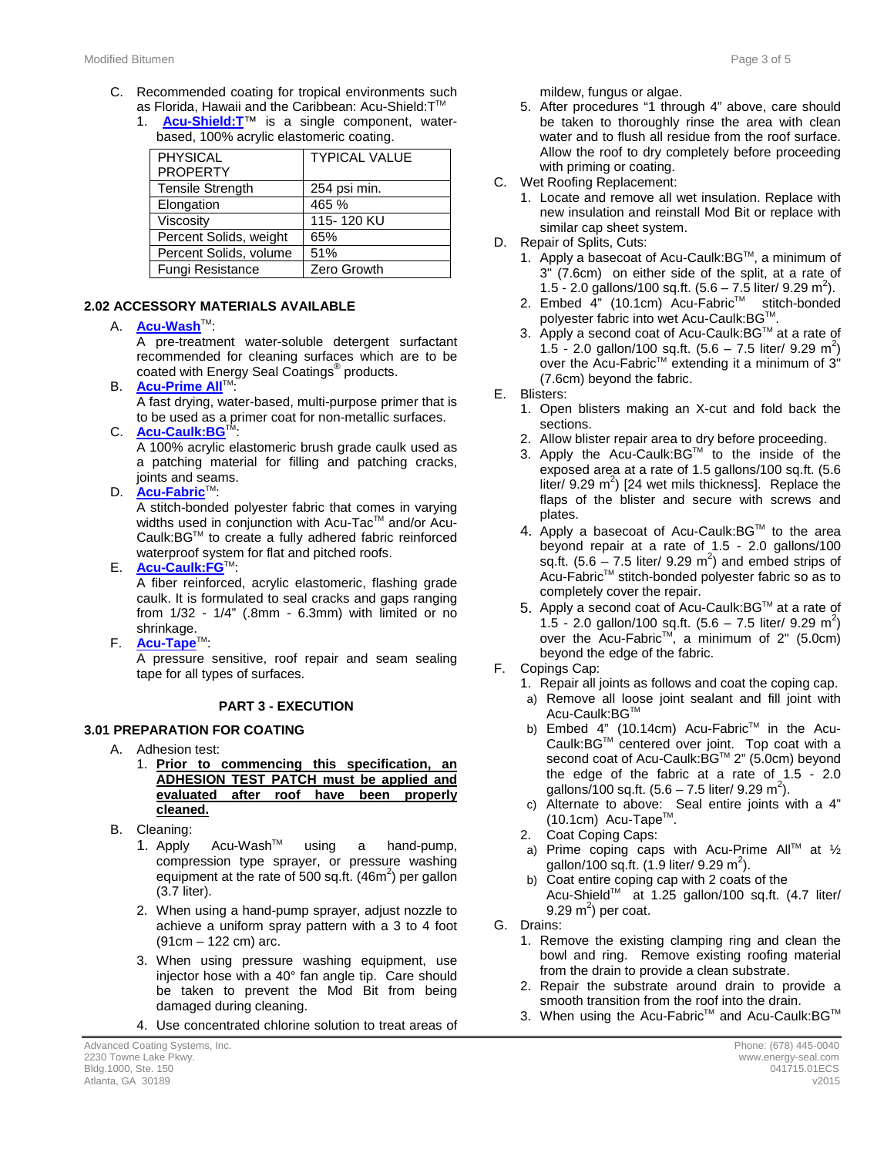- C. Recommended coating for tropical environments such as Florida, Hawaii and the Caribbean: Acu-Shield:T™
	- 1. **[Acu-Shield:T](http://www.energy-seal.com/UserDyn/ACS/pdfs/acu-shield-t.pdf)**™ is a single component, waterbased, 100% acrylic elastomeric coating.

| <b>PHYSICAL</b><br><b>PROPERTY</b> | <b>TYPICAL VALUE</b> |
|------------------------------------|----------------------|
| <b>Tensile Strength</b>            | 254 psi min.         |
| Elongation                         | 465 %                |
| Viscosity                          | 115-120 KU           |
| Percent Solids, weight             | 65%                  |
| Percent Solids, volume             | 51%                  |
| Fungi Resistance                   | Zero Growth          |

### **2.2 2.02 ACCESSORY MATERIALS AVAILABLE**

### A. **[Acu-Wash](http://www.energy-seal.com/UserDyn/ACS/pdfs/acu-wash.pdf)™:**

A pre-treatment water-soluble detergent surfactant recommended for cleaning surfaces which are to be coated with Energy Seal Coatings® products.

**B. [Acu-Prime](http://www.energy-seal.com/UserDyn/ACS/pdfs/acu-prime%20all.pdf) All**™:

A fast drying, water-based, multi-purpose primer that is to be used as a primer coat for non-metallic surfaces.

C. **[Acu-Caulk:BG](http://www.energy-seal.com/UserDyn/ACS/pdfs/acu-caulk_bg.pdf)** 

A 100% acrylic elastomeric brush grade caulk used as a patching material for filling and patching cracks, joints and seams.

D. **[Acu-Fabric](http://www.energy-seal.com/UserDyn/ACS/pdfs/acu-fabric-sb.pdf)™**:

A stitch-bonded polyester fabric that comes in varying widths used in conjunction with Acu-Tac™ and/or Acu-Caulk:BGTM to create a fully adhered fabric reinforced waterproof system for flat and pitched roofs.

E. **[Acu-Caulk:FG](http://www.energy-seal.com/UserDyn/ACS/pdfs/acu-caulk_fg.pdf)**TM:

A fiber reinforced, acrylic elastomeric, flashing grade caulk. It is formulated to seal cracks and gaps ranging from 1/32 - 1/4" (.8mm - 6.3mm) with limited or no shrinkage.

F. **[Acu-Tape](http://www.energy-seal.com/UserDyn/ACS/pdfs/acu-tape.pdf)**TM:

A pressure sensitive, roof repair and seam sealing tape for all types of surfaces.

### **3 PART 3 - EXECUTION**

### **3.1 3.01 PREPARATION FOR COATING**

- A. Adhesion test:
	- 1. **Prior to commencing this specification, an ADHESION TEST PATCH must be applied and evaluated after roof have been properly cleaned.**
- B. Cleaning:
	- 1. Apply Acu-Wash<sup>™</sup> using a hand-pump, compression type sprayer, or pressure washing equipment at the rate of 500 sq.ft.  $(46m^2)$  per gallon (3.7 liter).
	- 2. When using a hand-pump sprayer, adjust nozzle to achieve a uniform spray pattern with a 3 to 4 foot (91cm – 122 cm) arc.
	- 3. When using pressure washing equipment, use injector hose with a 40° fan angle tip. Care should be taken to prevent the Mod Bit from being damaged during cleaning.
	- 4. Use concentrated chlorine solution to treat areas of

mildew, fungus or algae.

- 5. After procedures "1 through 4" above, care should be taken to thoroughly rinse the area with clean water and to flush all residue from the roof surface. Allow the roof to dry completely before proceeding with priming or coating.
- C. Wet Roofing Replacement:
	- 1. Locate and remove all wet insulation. Replace with new insulation and reinstall Mod Bit or replace with similar cap sheet system.
- D. Repair of Splits, Cuts:
	- 1. Apply a basecoat of Acu-Caulk: BG™, a minimum of 3" (7.6cm) on either side of the split, at a rate of 1.5 - 2.0 gallons/100 sq.ft.  $(5.6 - 7.5)$  liter/ 9.29 m<sup>2</sup>).
	- 2. Embed 4" (10.1cm) Acu-Fabric™ stitch-bonded polyester fabric into wet Acu-Caulk: BG™.
	- 3. Apply a second coat of Acu-Caulk: BG™ at a rate of 1.5 - 2.0 gallon/100 sq.ft.  $(5.6 - 7.5$  liter/ 9.29 m<sup>2</sup>) over the Acu-Fabric<sup>™</sup> extending it a minimum of 3" (7.6cm) beyond the fabric.
- E. Blisters:
	- 1. Open blisters making an X-cut and fold back the sections.
	- 2. Allow blister repair area to dry before proceeding.
	- 3. Apply the Acu-Caulk:BG™ to the inside of the exposed area at a rate of 1.5 gallons/100 sq.ft. (5.6 liter/  $9.29 \text{ m}^2$ ) [24 wet mils thickness]. Replace the flaps of the blister and secure with screws and plates.
	- 4. Apply a basecoat of Acu-Caulk: BG™ to the area beyond repair at a rate of 1.5 - 2.0 gallons/100 sq.ft.  $(5.6 - 7.5$  liter/ 9.29 m<sup>2</sup>) and embed strips of Acu-FabricTM stitch-bonded polyester fabric so as to completely cover the repair.
	- 5. Apply a second coat of Acu-Caulk: BG™ at a rate of 1.5 - 2.0 gallon/100 sq.ft.  $(5.6 - 7.5$  liter/ 9.29 m<sup>2</sup>) over the Acu-Fabric<sup>TM</sup>, a minimum of  $2^{\prime\prime}$  (5.0cm) beyond the edge of the fabric.
- F. Copings Cap:
	- 1. Repair all joints as follows and coat the coping cap.
	- a) Remove all loose joint sealant and fill joint with Acu-Caulk:BG™
	- b) Embed 4" (10.14cm) Acu-Fabric<sup>TM</sup> in the Acu-Caulk:BGTM centered over joint. Top coat with a second coat of Acu-Caulk: BG™ 2" (5.0cm) beyond the edge of the fabric at a rate of 1.5 - 2.0 gallons/100 sq.ft. (5.6 – 7.5 liter/ 9.29 m<sup>2</sup>).
	- c) Alternate to above: Seal entire joints with a 4"  $(10.1cm)$  Acu-Tape<sup>TM</sup>.
	- 2. Coat Coping Caps:
	- a) Prime coping caps with Acu-Prime All<sup>™</sup> at  $\frac{1}{2}$ gallon/100 sq.ft.  $(1.9 \text{ liter/ } 9.29 \text{ m}^2)$ .
	- b) Coat entire coping cap with 2 coats of the Acu-Shield™ at 1.25 gallon/100 sq.ft. (4.7 liter/ 9.29 m<sup>2</sup>) per coat.
- G. Drains:
	- 1. Remove the existing clamping ring and clean the bowl and ring. Remove existing roofing material from the drain to provide a clean substrate.
	- 2. Repair the substrate around drain to provide a smooth transition from the roof into the drain.
	- 3. When using the Acu-Fabric™ and Acu-Caulk:BG™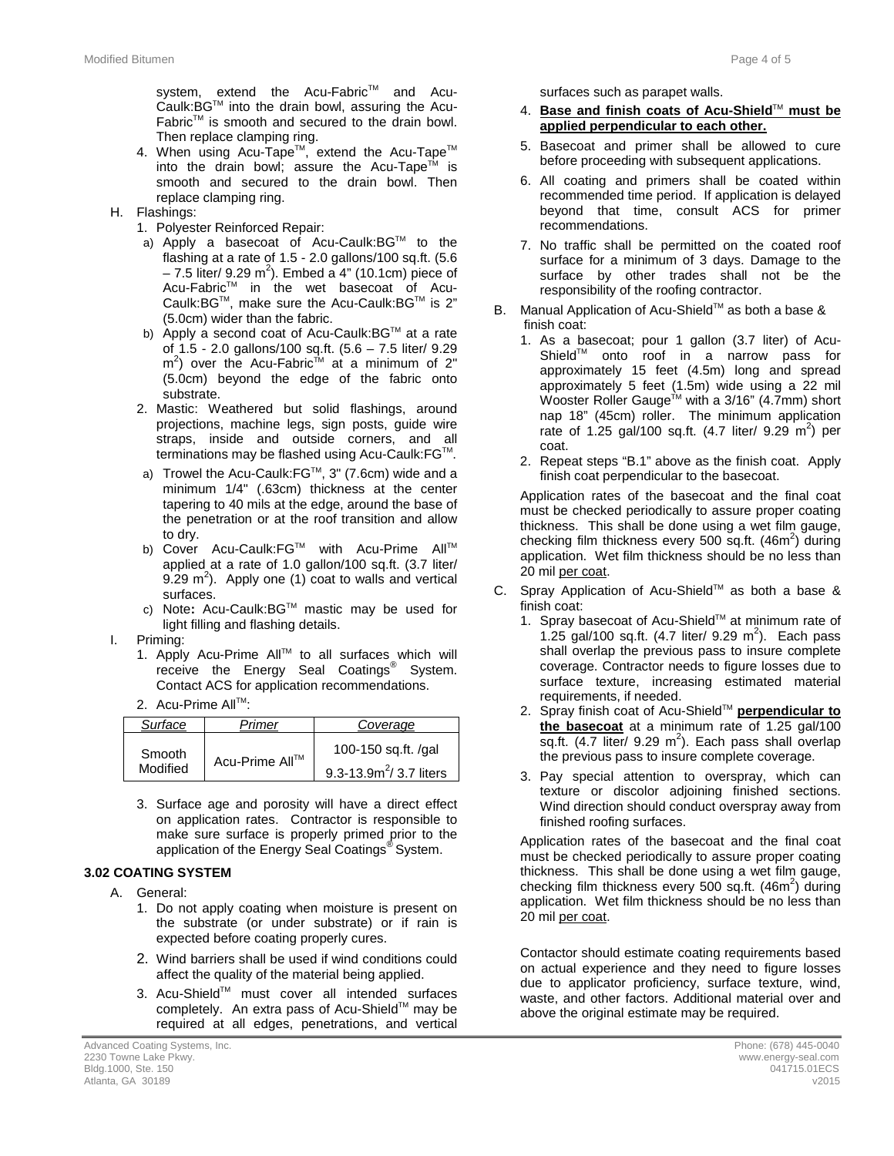system, extend the Acu-Fabric™ and Acu-Caulk:BG™ into the drain bowl, assuring the Acu-Fabric<sup>™</sup> is smooth and secured to the drain bowl. Then replace clamping ring.

- 4. When using Acu-Tape™, extend the Acu-Tape™ into the drain bowl; assure the Acu-Tape<sup>TM</sup> is smooth and secured to the drain bowl. Then replace clamping ring.
- H. Flashings:
	- 1. Polyester Reinforced Repair:
	- a) Apply a basecoat of Acu-Caulk: BG™ to the flashing at a rate of 1.5 - 2.0 gallons/100 sq.ft. (5.6  $-7.5$  liter/ 9.29 m<sup>2</sup>). Embed a 4" (10.1cm) piece of Acu-FabricTM in the wet basecoat of Acu-Caulk:BG™, make sure the Acu-Caulk:BG™ is 2" (5.0cm) wider than the fabric.
	- b) Apply a second coat of Acu-Caulk: BG™ at a rate of 1.5 - 2.0 gallons/100 sq.ft. (5.6 – 7.5 liter/ 9.29  $m<sup>2</sup>$ ) over the Acu-Fabric<sup>tM</sup> at a minimum of 2" (5.0cm) beyond the edge of the fabric onto substrate.
	- 2. Mastic: Weathered but solid flashings, around projections, machine legs, sign posts, guide wire straps, inside and outside corners, and all terminations may be flashed using Acu-Caulk:FG™.
	- a) Trowel the Acu-Caulk:FG™, 3" (7.6cm) wide and a minimum 1/4" (.63cm) thickness at the center tapering to 40 mils at the edge, around the base of the penetration or at the roof transition and allow to dry.
	- b) Cover Acu-Caulk:FG™ with Acu-Prime All™ applied at a rate of 1.0 gallon/100 sq.ft. (3.7 liter/  $9.29 \text{ m}^2$ ). Apply one (1) coat to walls and vertical surfaces.
	- c) Note**:** Acu-Caulk:BGTM mastic may be used for light filling and flashing details.
- I. Priming:
	- 1. Apply Acu-Prime All™ to all surfaces which will receive the Energy Seal Coatings<sup>®</sup> System. Contact ACS for application recommendations.
	- 2. Acu-Prime All™:

| Surface            | Primer         | Coverage                                           |
|--------------------|----------------|----------------------------------------------------|
| Smooth<br>Modified | Acu-Prime All™ | 100-150 sq.ft. /gal<br>9.3-13.9 $m^2$ / 3.7 liters |

3. Surface age and porosity will have a direct effect on application rates. Contractor is responsible to make sure surface is properly primed prior to the application of the Energy Seal Coatings® System.

### **3.2 3.02 COATING SYSTEM**

- A. General:
	- 1. Do not apply coating when moisture is present on the substrate (or under substrate) or if rain is expected before coating properly cures.
	- 2. Wind barriers shall be used if wind conditions could affect the quality of the material being applied.
	- 3. Acu-Shield™ must cover all intended surfaces completely. An extra pass of Acu-Shield™ may be required at all edges, penetrations, and vertical

surfaces such as parapet walls.

### 4. **Base and finish coats of Acu-Shield**TM **must be applied perpendicular to each other.**

- 5. Basecoat and primer shall be allowed to cure before proceeding with subsequent applications.
- 6. All coating and primers shall be coated within recommended time period. If application is delayed beyond that time, consult ACS for primer recommendations.
- 7. No traffic shall be permitted on the coated roof surface for a minimum of 3 days. Damage to the surface by other trades shall not be the responsibility of the roofing contractor.
- B. Manual Application of Acu-Shield™ as both a base & finish coat:
	- 1. As a basecoat; pour 1 gallon (3.7 liter) of Acu-Shield<sup>™</sup> onto roof in a narrow pass for approximately 15 feet (4.5m) long and spread approximately 5 feet (1.5m) wide using a 22 mil Wooster Roller Gauge™ with a 3/16" (4.7mm) short nap 18" (45cm) roller. The minimum application rate of 1.25 gal/100 sq.ft.  $(4.7 \text{ liter/ } 9.29 \text{ m}^2)$  per coat.
	- 2. Repeat steps "B.1" above as the finish coat. Apply finish coat perpendicular to the basecoat.

Application rates of the basecoat and the final coat must be checked periodically to assure proper coating thickness. This shall be done using a wet film gauge, checking film thickness every 500 sq.ft.  $(46m^2)$  during application. Wet film thickness should be no less than 20 mil per coat.

- C. Spray Application of Acu-Shield™ as both a base & finish coat:
	- 1. Spray basecoat of Acu-Shield™ at minimum rate of 1.25 gal/100 sq.ft.  $(4.7 \text{ liter/ } 9.29 \text{ m}^2)$ . Each pass shall overlap the previous pass to insure complete coverage. Contractor needs to figure losses due to surface texture, increasing estimated material requirements, if needed.
	- 2. Spray finish coat of Acu-Shield™ **perpendicular to the basecoat** at a minimum rate of 1.25 gal/100 sq.ft.  $(4.7$  liter/ 9.29 m<sup>2</sup>). Each pass shall overlap the previous pass to insure complete coverage.
	- 3. Pay special attention to overspray, which can texture or discolor adjoining finished sections. Wind direction should conduct overspray away from finished roofing surfaces.

Application rates of the basecoat and the final coat must be checked periodically to assure proper coating thickness. This shall be done using a wet film gauge, checking film thickness every 500 sq.ft.  $(46m^2)$  during application. Wet film thickness should be no less than 20 mil per coat.

Contactor should estimate coating requirements based on actual experience and they need to figure losses due to applicator proficiency, surface texture, wind, waste, and other factors. Additional material over and above the original estimate may be required.